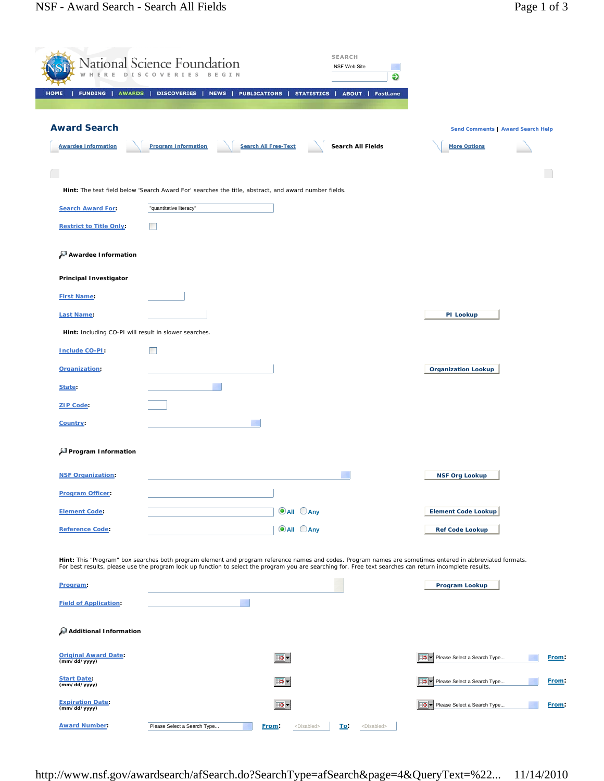|                                                       | National Science Foundation<br>D I S C O |                                                                                                      | <b>SEARCH</b><br>NSF Web Site           | Ð                                                                                                                                                                                                                                                                                                                     |              |
|-------------------------------------------------------|------------------------------------------|------------------------------------------------------------------------------------------------------|-----------------------------------------|-----------------------------------------------------------------------------------------------------------------------------------------------------------------------------------------------------------------------------------------------------------------------------------------------------------------------|--------------|
| <b>FUNDING   AWARDS  </b><br><b>HOME</b>              | <b>DISCOVERIES</b>                       | NEWS  <br><b>PUBLICATIONS  </b>                                                                      | STATISTICS  <br><b>ABOUT   FastLane</b> |                                                                                                                                                                                                                                                                                                                       |              |
| <b>Award Search</b>                                   |                                          |                                                                                                      |                                         | Send Comments   Award Search Help                                                                                                                                                                                                                                                                                     |              |
| <b>Awardee Information</b>                            | <b>Program Information</b>               | <b>Search All Free-Text</b>                                                                          | Search All Fields                       | <b>More Options</b>                                                                                                                                                                                                                                                                                                   |              |
|                                                       |                                          |                                                                                                      |                                         |                                                                                                                                                                                                                                                                                                                       |              |
|                                                       |                                          | Hint: The text field below 'Search Award For' searches the title, abstract, and award number fields. |                                         |                                                                                                                                                                                                                                                                                                                       |              |
| <b>Search Award For:</b>                              | "quantitative literacy"                  |                                                                                                      |                                         |                                                                                                                                                                                                                                                                                                                       |              |
| <b>Restrict to Title Only:</b>                        | <b>The State</b>                         |                                                                                                      |                                         |                                                                                                                                                                                                                                                                                                                       |              |
| Awardee Information                                   |                                          |                                                                                                      |                                         |                                                                                                                                                                                                                                                                                                                       |              |
| <b>Principal Investigator</b>                         |                                          |                                                                                                      |                                         |                                                                                                                                                                                                                                                                                                                       |              |
| <b>First Name:</b>                                    |                                          |                                                                                                      |                                         |                                                                                                                                                                                                                                                                                                                       |              |
| <b>Last Name:</b>                                     |                                          |                                                                                                      |                                         | PI Lookup                                                                                                                                                                                                                                                                                                             |              |
| Hint: Including CO-PI will result in slower searches. |                                          |                                                                                                      |                                         |                                                                                                                                                                                                                                                                                                                       |              |
| Include CO-PI:                                        | <b>The State</b>                         |                                                                                                      |                                         |                                                                                                                                                                                                                                                                                                                       |              |
| Organization:                                         |                                          |                                                                                                      |                                         | <b>Organization Lookup</b>                                                                                                                                                                                                                                                                                            |              |
| State:                                                |                                          |                                                                                                      |                                         |                                                                                                                                                                                                                                                                                                                       |              |
| <b>ZIP Code:</b>                                      |                                          |                                                                                                      |                                         |                                                                                                                                                                                                                                                                                                                       |              |
| Country:                                              |                                          |                                                                                                      |                                         |                                                                                                                                                                                                                                                                                                                       |              |
| Program Information                                   |                                          |                                                                                                      |                                         |                                                                                                                                                                                                                                                                                                                       |              |
| <b>NSF Organization:</b>                              |                                          |                                                                                                      |                                         | <b>NSF Org Lookup</b>                                                                                                                                                                                                                                                                                                 |              |
| <b>Program Officer:</b>                               |                                          |                                                                                                      |                                         |                                                                                                                                                                                                                                                                                                                       |              |
| <b>Element Code:</b>                                  |                                          | <b>O</b> All CAny                                                                                    |                                         | <b>Element Code Lookup</b>                                                                                                                                                                                                                                                                                            |              |
| <b>Reference Code:</b>                                |                                          | $\odot$ All $\odot$ Any                                                                              |                                         | <b>Ref Code Lookup</b>                                                                                                                                                                                                                                                                                                |              |
|                                                       |                                          |                                                                                                      |                                         |                                                                                                                                                                                                                                                                                                                       |              |
|                                                       |                                          |                                                                                                      |                                         | Hint: This "Program" box searches both program element and program reference names and codes. Program names are sometimes entered in abbreviated formats.<br>For best results, please use the program look up function to select the program you are searching for. Free text searches can return incomplete results. |              |
| Program:                                              |                                          |                                                                                                      |                                         | Program Lookup                                                                                                                                                                                                                                                                                                        |              |
| <b>Field of Application:</b>                          |                                          |                                                                                                      |                                         |                                                                                                                                                                                                                                                                                                                       |              |
| Additional Information                                |                                          |                                                                                                      |                                         |                                                                                                                                                                                                                                                                                                                       |              |
| <b>Original Award Date:</b><br>(mm/dd/yyyy)           |                                          | .o -                                                                                                 |                                         | Please Select a Search Type                                                                                                                                                                                                                                                                                           | <b>Erom:</b> |
| <b>Start Date:</b><br>(mm/dd/yyyy)                    |                                          | o-                                                                                                   |                                         | Please Select a Search Type                                                                                                                                                                                                                                                                                           | From:        |
| <b>Expiration Date:</b><br>(mm/dd/yyyy)               |                                          | o-                                                                                                   |                                         | Please Select a Search Type                                                                                                                                                                                                                                                                                           | From:        |
|                                                       |                                          |                                                                                                      |                                         |                                                                                                                                                                                                                                                                                                                       |              |

http://www.nsf.gov/awardsearch/afSearch.do?SearchType=afSearch&page=4&QueryText=%22... 11/14/2010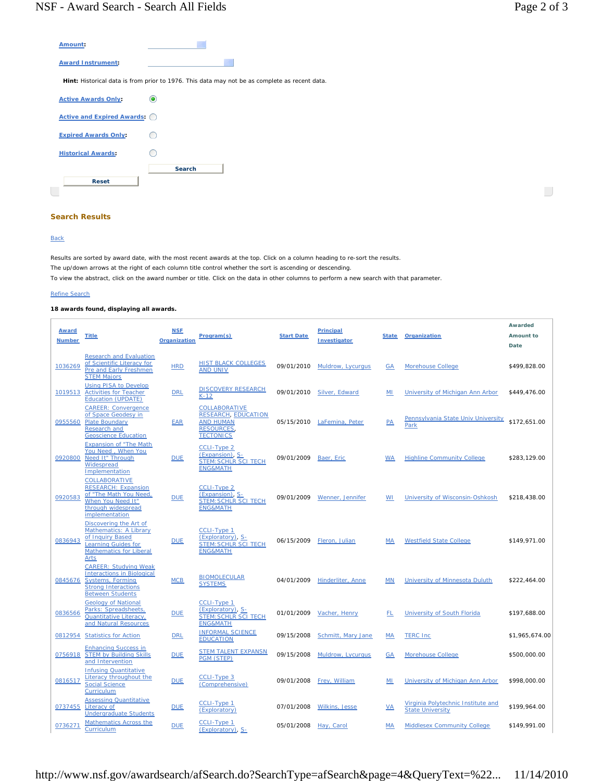$\overline{\phantom{a}}$ 

| Amount:                       |                                                                                               |
|-------------------------------|-----------------------------------------------------------------------------------------------|
| <b>Award Instrument:</b>      |                                                                                               |
|                               | Hint: Historical data is from prior to 1976. This data may not be as complete as recent data. |
| <b>Active Awards Only:</b>    |                                                                                               |
| Active and Expired Awards: () |                                                                                               |
| <b>Expired Awards Only:</b>   |                                                                                               |
| <b>Historical Awards:</b>     |                                                                                               |
|                               | <b>Search</b>                                                                                 |
| <b>Reset</b>                  |                                                                                               |

## **Search Results**

## **Back**

 $\overline{1}$ 

Results are sorted by award date, with the most recent awards at the top. Click on a column heading to re-sort the results. The up/down arrows at the right of each column title control whether the sort is ascending or descending. To view the abstract, click on the award number or title. Click on the data in other columns to perform a new search with that parameter.

## Refine Search

## **18 awards found, displaying all awards.**

| <b>Award</b><br><b>Number</b> | <b>Title</b>                                                                                                                                          | <b>NSF</b><br>Organization | Program(s)                                                                                                     | <b>Start Date</b> | <b>Principal</b><br>Investigator | <b>State</b> | <b>Organization</b>                                           | Awarded<br>Amount to<br>Date |
|-------------------------------|-------------------------------------------------------------------------------------------------------------------------------------------------------|----------------------------|----------------------------------------------------------------------------------------------------------------|-------------------|----------------------------------|--------------|---------------------------------------------------------------|------------------------------|
| 1036269                       | <b>Research and Evaluation</b><br>of Scientific Literacy for<br>Pre and Early Freshmen<br><b>STEM Majors</b>                                          | <b>HRD</b>                 | <b>HIST BLACK COLLEGES</b><br><b>AND UNIV</b>                                                                  | 09/01/2010        | Muldrow, Lycurgus                | <b>GA</b>    | <b>Morehouse College</b>                                      | \$499,828.00                 |
| 1019513                       | <b>Using PISA to Develop</b><br><b>Activities for Teacher</b><br><b>Education (UPDATE)</b>                                                            | <b>DRL</b>                 | <b>DISCOVERY RESEARCH</b><br>$K-12$                                                                            | 09/01/2010        | Silver, Edward                   | ML           | University of Michigan Ann Arbor                              | \$449,476.00                 |
| 0955560                       | <b>CAREER: Convergence</b><br>of Space Geodesy in<br><b>Plate Boundary</b><br><b>Research and</b><br><b>Geoscience Education</b>                      | <b>EAR</b>                 | <b>COLLABORATIVE</b><br><b>RESEARCH, EDUCATION</b><br><b>AND HUMAN</b><br><b>RESOURCES</b><br><b>TECTONICS</b> | 05/15/2010        | LaFemina, Peter                  | PA           | Pennsylvania State Univ University<br>Park                    | \$172,651.00                 |
| 0920800                       | <b>Expansion of "The Math</b><br>You Need, When You<br>Need It" Through<br><b>Widespread</b><br>Implementation                                        | <b>DUE</b>                 | <b>CCLI-Type 2</b><br>(Expansion), S-<br><b>STEM: SCHLR SCI TECH</b><br><b>ENG&amp;MATH</b>                    | 09/01/2009        | Baer, Eric                       | <b>WA</b>    | <b>Highline Community College</b>                             | \$283,129.00                 |
| 0920583                       | <b>COLLABORATIVE</b><br><b>RESEARCH: Expansion</b><br>of "The Math You Need,<br>When You Need It"<br>through widespread<br>implementation             | <b>DUE</b>                 | <b>CCLI-Type 2</b><br>(Expansion), S-<br><b>STEM: SCHLR SCI TECH</b><br><b>ENG&amp;MATH</b>                    | 09/01/2009        | Wenner, Jennifer                 | WI           | University of Wisconsin-Oshkosh                               | \$218,438.00                 |
| 0836943                       | Discovering the Art of<br>Mathematics: A Library<br>of Inquiry Based<br><b>Learning Guides for</b><br><b>Mathematics for Liberal</b><br><b>Arts</b>   | <b>DUE</b>                 | <b>CCLI-Type 1</b><br>(Exploratory), S-<br><b>STEM: SCHLR SCI TECH</b><br><b>ENG&amp;MATH</b>                  | 06/15/2009        | Fleron, Julian                   | <b>MA</b>    | <b>Westfield State College</b>                                | \$149,971.00                 |
| 0845676                       | <b>CAREER: Studying Weak</b><br><b>Interactions in Biological</b><br><b>Systems, Forming</b><br><b>Strong Interactions</b><br><b>Between Students</b> | <b>MCB</b>                 | <b>BIOMOLECULAR</b><br><b>SYSTEMS</b>                                                                          | 04/01/2009        | Hinderliter, Anne                | <b>MN</b>    | University of Minnesota Duluth                                | \$222,464.00                 |
| 0836566                       | <b>Geology of National</b><br>Parks: Spreadsheets,<br><b>Quantitative Literacy</b> ,<br>and Natural Resources                                         | <b>DUE</b>                 | <b>CCLI-Type 1</b><br>(Exploratory), S-<br><b>STEM: SCHLR SCI TECH</b><br><b>ENG&amp;MATH</b>                  | 01/01/2009        | Vacher, Henry                    | .EL          | University of South Florida                                   | \$197,688.00                 |
|                               | 0812954 Statistics for Action                                                                                                                         | <b>DRL</b>                 | <b>INFORMAL SCIENCE</b><br><b>EDUCATION</b>                                                                    | 09/15/2008        | Schmitt, Mary Jane               | MA           | <b>TERC Inc</b>                                               | \$1,965,674.00               |
| 0756918                       | <b>Enhancing Success in</b><br><b>STEM by Building Skills</b><br>and Intervention                                                                     | <b>DUE</b>                 | <b>STEM TALENT EXPANSN</b><br><b>PGM (STEP)</b>                                                                | 09/15/2008        | Muldrow, Lycurgus                | <b>GA</b>    | <b>Morehouse College</b>                                      | \$500,000.00                 |
| 0816517                       | <b>Infusing Quantitative</b><br>Literacy throughout the<br><b>Social Science</b><br>Curriculum                                                        | <b>DUE</b>                 | <b>CCLI-Type 3</b><br>(Comprehensive)                                                                          | 09/01/2008        | <b>Frey, William</b>             | МЦ           | University of Michigan Ann Arbor                              | \$998,000.00                 |
| 0737455                       | <b>Assessing Quantitative</b><br>Literacy of<br><b>Undergraduate Students</b>                                                                         | <b>DUE</b>                 | <b>CCLI-Type 1</b><br>(Exploratory)                                                                            | 07/01/2008        | <b>Wilkins, Jesse</b>            | <u>VA</u>    | Virginia Polytechnic Institute and<br><b>State University</b> | \$199,964.00                 |
| 0736271                       | Mathematics Across the<br>Curriculum                                                                                                                  | <b>DUE</b>                 | <b>CCLI-Type 1</b><br>(Exploratory), S-                                                                        | 05/01/2008        | Hay, Carol                       | MA           | <b>Middlesex Community College</b>                            | \$149.991.00                 |